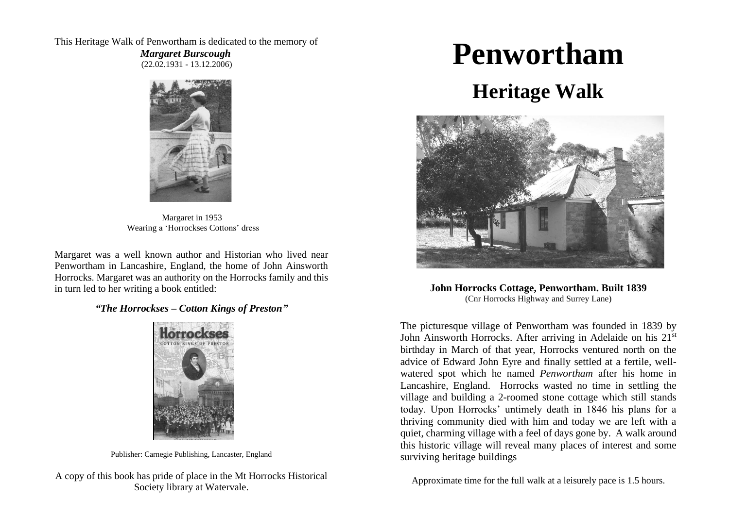This Heritage Walk of Penwortham is dedicated to the memory of

 *Margaret Burscough* (22.02.1931 - 13.12.2006)



Margaret in 1953 Wearing a 'Horrockses Cottons' dress

Margaret was a well known author and Historian who lived near Penwortham in Lancashire, England, the home of John Ainsworth Horrocks. Margaret was an authority on the Horrocks family and this in turn led to her writing a book entitled:

*"The Horrockses – Cotton Kings of Preston"*



Publisher: Carnegie Publishing, Lancaster, England

A copy of this book has pride of place in the Mt Horrocks Historical Society library at Watervale.

# **Penwortham**

# **Heritage Walk**



**John Horrocks Cottage, Penwortham. Built 1839** (Cnr Horrocks Highway and Surrey Lane)

The picturesque village of Penwortham was founded in 1839 by John Ainsworth Horrocks. After arriving in Adelaide on his 21<sup>st</sup> birthday in March of that year, Horrocks ventured north on the advice of Edward John Eyre and finally settled at a fertile, wellwatered spot which he named *Penwortham* after his home in Lancashire, England. Horrocks wasted no time in settling the village and building a 2-roomed stone cottage which still stands today. Upon Horrocks' untimely death in 1846 his plans for a thriving community died with him and today we are left with a quiet, charming village with a feel of days gone by. A walk around this historic village will reveal many places of interest and some surviving heritage buildings

Approximate time for the full walk at a leisurely pace is 1.5 hours.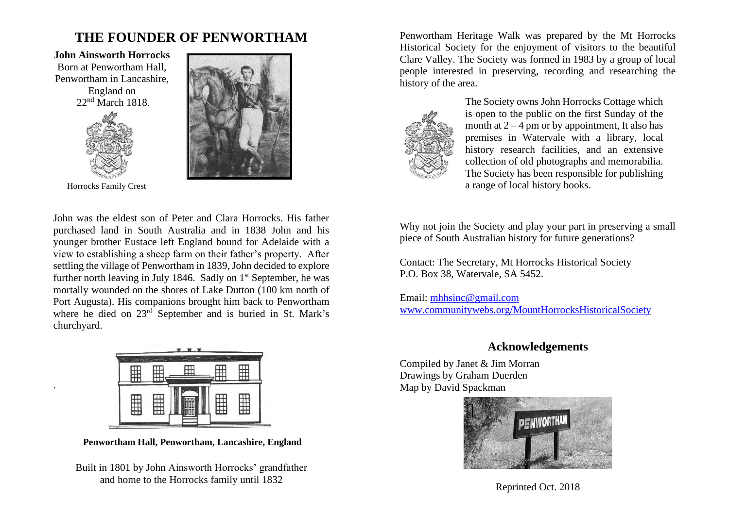### **THE FOUNDER OF PENWORTHAM**

**John Ainsworth Horrocks** Born at Penwortham Hall, Penwortham in Lancashire,

> England on 22<sup>nd</sup> March 1818.





.

John was the eldest son of Peter and Clara Horrocks. His father purchased land in South Australia and in 1838 John and his younger brother Eustace left England bound for Adelaide with a view to establishing a sheep farm on their father's property. After settling the village of Penwortham in 1839, John decided to explore further north leaving in July 1846. Sadly on  $1<sup>st</sup>$  September, he was mortally wounded on the shores of Lake Dutton (100 km north of Port Augusta). His companions brought him back to Penwortham where he died on  $23<sup>rd</sup>$  September and is buried in St. Mark's churchyard.



**Penwortham Hall, Penwortham, Lancashire, England**

Built in 1801 by John Ainsworth Horrocks' grandfather and home to the Horrocks family until 1832

Penwortham Heritage Walk was prepared by the Mt Horrocks Historical Society for the enjoyment of visitors to the beautiful Clare Valley. The Society was formed in 1983 by a group of local people interested in preserving, recording and researching the history of the area.



The Society owns John Horrocks Cottage which is open to the public on the first Sunday of the month at  $2 - 4$  pm or by appointment. It also has premises in Watervale with a library, local history research facilities, and an extensive collection of old photographs and memorabilia. The Society has been responsible for publishing Horrocks Family Crest a range of local history books.

> Why not join the Society and play your part in preserving a small piece of South Australian history for future generations?

Contact: The Secretary, Mt Horrocks Historical Society P.O. Box 38, Watervale, SA 5452.

Email: [mhhsinc@gmail.com](mailto:mhhsinc@gmail.com) [www.communitywebs.org/MountHorrocksHistoricalSociety](http://www.communitywebs.org/MountHorrocksHistoricalSociety) 

#### **Acknowledgements**

Compiled by Janet & Jim Morran Drawings by Graham Duerden Map by David Spackman



Reprinted Oct. 2018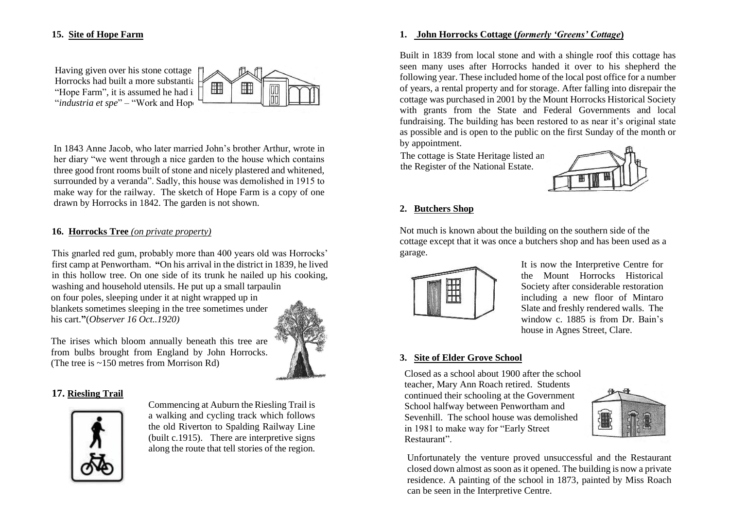#### **15. Site of Hope Farm**



In 1843 Anne Jacob, who later married John's brother Arthur, wrote in her diary "we went through a nice garden to the house which contains three good front rooms built of stone and nicely plastered and whitened, surrounded by a veranda". Sadly, this house was demolished in 1915 to make way for the railway. The sketch of Hope Farm is a copy of one drawn by Horrocks in 1842. The garden is not shown.

#### **16. Horrocks Tree** *(on private property)*

This gnarled red gum, probably more than 400 years old was Horrocks' first camp at Penwortham. **"**On his arrival in the district in 1839, he lived in this hollow tree. On one side of its trunk he nailed up his cooking, washing and household utensils. He put up a small tarpaulin on four poles, sleeping under it at night wrapped up in

blankets sometimes sleeping in the tree sometimes under his cart.**"**(*Observer 16 Oct..1920)*



#### The irises which bloom annually beneath this tree are from bulbs brought from England by John Horrocks. (The tree is ~150 metres from Morrison Rd)

#### **17. Riesling Trail**



Commencing at Auburn the Riesling Trail is a walking and cycling track which follows the old Riverton to Spalding Railway Line (built c.1915). There are interpretive signs along the route that tell stories of the region.

#### **1. John Horrocks Cottage (***formerly 'Greens' Cottage***)**

Built in 1839 from local stone and with a shingle roof this cottage has seen many uses after Horrocks handed it over to his shepherd the following year. These included home of the local post office for a number of years, a rental property and for storage. After falling into disrepair the cottage was purchased in 2001 by the Mount Horrocks Historical Society with grants from the State and Federal Governments and local fundraising. The building has been restored to as near it's original state as possible and is open to the public on the first Sunday of the month or by appointment.

The cottage is State Heritage listed an the Register of the National Estate.



## **2. Butchers Shop** B

Not much is known about the building on the southern side of the cottage except that it was once a butchers shop and has been used as a garage.



It is now the Interpretive Centre for the Mount Horrocks Historical Society after considerable restoration including a new floor of Mintaro Slate and freshly rendered walls. The window c. 1885 is from Dr. Bain's house in Agnes Street, Clare.

#### **3. Site of Elder Grove School**

Closed as a school about 1900 after the school teacher, Mary Ann Roach retired. Students continued their schooling at the Government School halfway between Penwortham and Sevenhill. The school house was demolished in 1981 to make way for "Early Street Restaurant".



Unfortunately the venture proved unsuccessful and the Restaurant closed down almost as soon as it opened. The building is now a private residence. A painting of the school in 1873, painted by Miss Roach can be seen in the Interpretive Centre.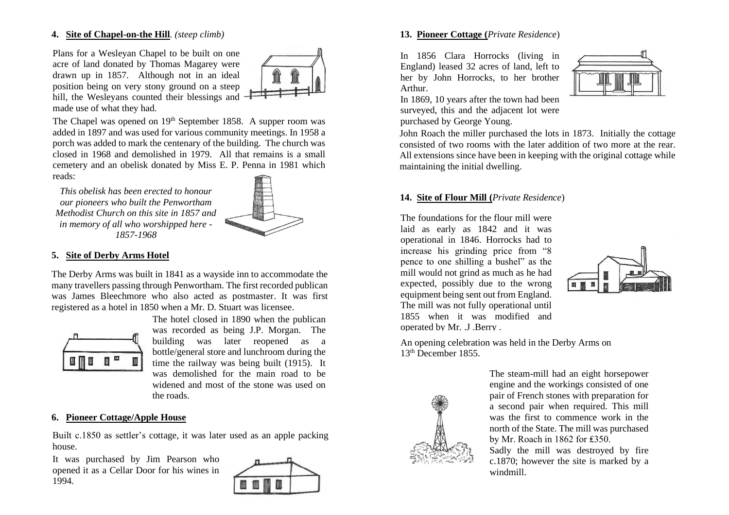#### **4. Site of Chapel-on-the Hill***. (steep climb)*

Plans for a Wesleyan Chapel to be built on one acre of land donated by Thomas Magarey were drawn up in 1857. Although not in an ideal position being on very stony ground on a steep hill, the Wesleyans counted their blessings and  $\neg$ made use of what they had.



The Chapel was opened on 19<sup>th</sup> September 1858. A supper room was added in 1897 and was used for various community meetings. In 1958 a porch was added to mark the centenary of the building. The church was closed in 1968 and demolished in 1979. All that remains is a small cemetery and an obelisk donated by Miss E. P. Penna in 1981 which reads:

*This obelisk has been erected to honour our pioneers who built the Penwortham Methodist Church on this site in 1857 and in memory of all who worshipped here - 1857-1968*



#### **5. Site of Derby Arms Hotel**

The Derby Arms was built in 1841 as a wayside inn to accommodate the many travellers passing through Penwortham. The first recorded publican was James Bleechmore who also acted as postmaster. It was first registered as a hotel in 1850 when a Mr. D. Stuart was licensee.



The hotel closed in 1890 when the publican was recorded as being J.P. Morgan. The building was later reopened as a bottle/general store and lunchroom during the time the railway was being built (1915). It was demolished for the main road to be widened and most of the stone was used on the roads.

#### **6. Pioneer Cottage/Apple House**

Built c.1850 as settler's cottage, it was later used as an apple packing house.

It was purchased by Jim Pearson who opened it as a Cellar Door for his wines in 1994.



#### **13. Pioneer Cottage (***Private Residence*)

In 1856 Clara Horrocks (living in England) leased 32 acres of land, left to her by John Horrocks, to her brother Arthur.



In 1869, 10 years after the town had been surveyed, this and the adjacent lot were purchased by George Young.

 John Roach the miller purchased the lots in 1873. Initially the cottage consisted of two rooms with the later addition of two more at the rear. All extensions since have been in keeping with the original cottage while maintaining the initial dwelling.

#### **14. Site of Flour Mill (***Private Residence*)

The foundations for the flour mill were laid as early as 1842 and it was operational in 1846. Horrocks had to increase his grinding price from "8 pence to one shilling a bushel" as the mill would not grind as much as he had expected, possibly due to the wrong equipment being sent out from England. The mill was not fully operational until 1855 when it was modified and operated by Mr. I. Berry



An opening celebration was held in the Derby Arms on 13th December 1855.



The steam-mill had an eight horsepower engine and the workings consisted of one pair of French stones with preparation for a second pair when required. This mill was the first to commence work in the north of the State. The mill was purchased by Mr. Roach in 1862 for ₤350.

Sadly the mill was destroyed by fire c.1870; however the site is marked by a windmill.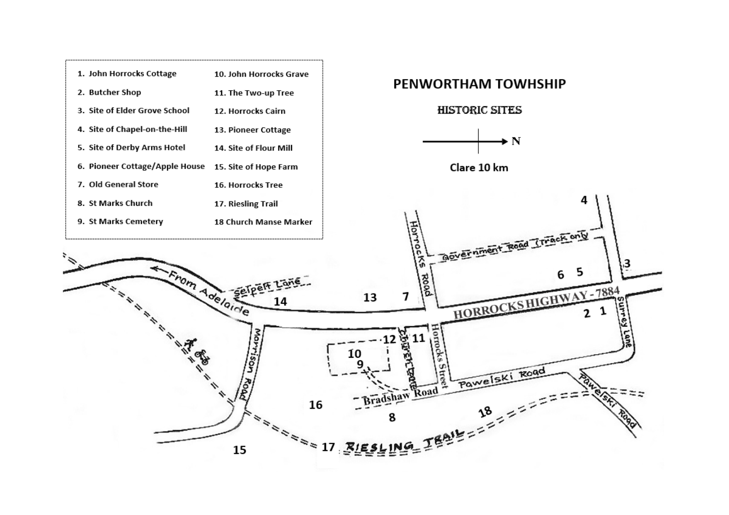